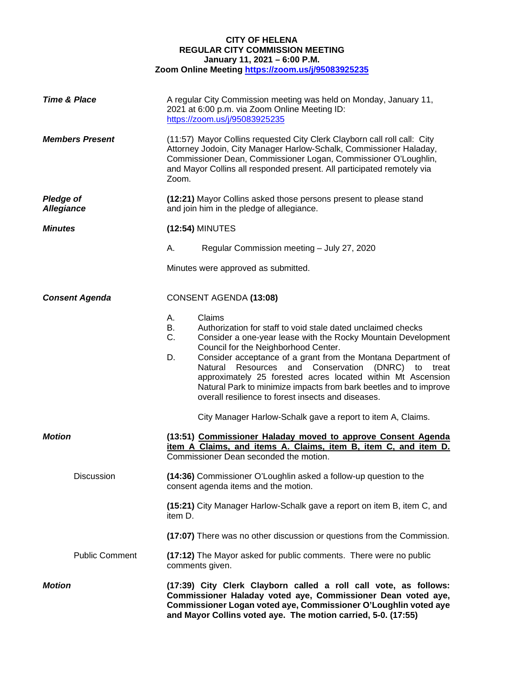## **CITY OF HELENA REGULAR CITY COMMISSION MEETING January 11, 2021 – 6:00 P.M. Zoom Online Meeting <https://zoom.us/j/95083925235>**

| <b>Time &amp; Place</b>               | A regular City Commission meeting was held on Monday, January 11,<br>2021 at 6:00 p.m. via Zoom Online Meeting ID:<br>https://zoom.us/j/95083925235                                                                                                                                                                                                                                                                                                                                                                                                                                           |
|---------------------------------------|-----------------------------------------------------------------------------------------------------------------------------------------------------------------------------------------------------------------------------------------------------------------------------------------------------------------------------------------------------------------------------------------------------------------------------------------------------------------------------------------------------------------------------------------------------------------------------------------------|
| <b>Members Present</b>                | (11:57) Mayor Collins requested City Clerk Clayborn call roll call: City<br>Attorney Jodoin, City Manager Harlow-Schalk, Commissioner Haladay,<br>Commissioner Dean, Commissioner Logan, Commissioner O'Loughlin,<br>and Mayor Collins all responded present. All participated remotely via<br>Zoom.                                                                                                                                                                                                                                                                                          |
| <b>Pledge of</b><br><b>Allegiance</b> | (12:21) Mayor Collins asked those persons present to please stand<br>and join him in the pledge of allegiance.                                                                                                                                                                                                                                                                                                                                                                                                                                                                                |
| <b>Minutes</b>                        | (12:54) MINUTES                                                                                                                                                                                                                                                                                                                                                                                                                                                                                                                                                                               |
|                                       | А.<br>Regular Commission meeting - July 27, 2020                                                                                                                                                                                                                                                                                                                                                                                                                                                                                                                                              |
|                                       | Minutes were approved as submitted.                                                                                                                                                                                                                                                                                                                                                                                                                                                                                                                                                           |
| <b>Consent Agenda</b>                 | CONSENT AGENDA (13:08)                                                                                                                                                                                                                                                                                                                                                                                                                                                                                                                                                                        |
|                                       | Claims<br>А.<br>В.<br>Authorization for staff to void stale dated unclaimed checks<br>C.<br>Consider a one-year lease with the Rocky Mountain Development<br>Council for the Neighborhood Center.<br>Consider acceptance of a grant from the Montana Department of<br>D.<br>Natural Resources and Conservation<br>(DNRC)<br>to treat<br>approximately 25 forested acres located within Mt Ascension<br>Natural Park to minimize impacts from bark beetles and to improve<br>overall resilience to forest insects and diseases.<br>City Manager Harlow-Schalk gave a report to item A, Claims. |
| <b>Motion</b>                         | (13:51) Commissioner Haladay moved to approve Consent Agenda<br>item A Claims, and items A. Claims, item B, item C, and item D.<br>Commissioner Dean seconded the motion.                                                                                                                                                                                                                                                                                                                                                                                                                     |
| Discussion                            | (14:36) Commissioner O'Loughlin asked a follow-up question to the<br>consent agenda items and the motion.                                                                                                                                                                                                                                                                                                                                                                                                                                                                                     |
|                                       | (15:21) City Manager Harlow-Schalk gave a report on item B, item C, and<br>item D.                                                                                                                                                                                                                                                                                                                                                                                                                                                                                                            |
|                                       | (17:07) There was no other discussion or questions from the Commission.                                                                                                                                                                                                                                                                                                                                                                                                                                                                                                                       |
| <b>Public Comment</b>                 | (17:12) The Mayor asked for public comments. There were no public<br>comments given.                                                                                                                                                                                                                                                                                                                                                                                                                                                                                                          |
| <b>Motion</b>                         | (17:39) City Clerk Clayborn called a roll call vote, as follows:<br>Commissioner Haladay voted aye, Commissioner Dean voted aye,<br>Commissioner Logan voted aye, Commissioner O'Loughlin voted aye<br>and Mayor Collins voted aye. The motion carried, 5-0. (17:55)                                                                                                                                                                                                                                                                                                                          |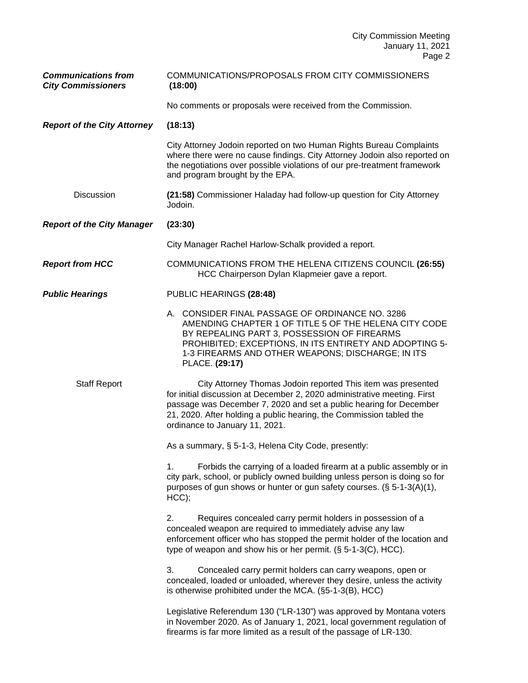| <b>Communications from</b><br><b>City Commissioners</b> | COMMUNICATIONS/PROPOSALS FROM CITY COMMISSIONERS<br>(18:00)                                                                                                                                                                                                                                                             |
|---------------------------------------------------------|-------------------------------------------------------------------------------------------------------------------------------------------------------------------------------------------------------------------------------------------------------------------------------------------------------------------------|
|                                                         | No comments or proposals were received from the Commission.                                                                                                                                                                                                                                                             |
| <b>Report of the City Attorney</b>                      | (18:13)                                                                                                                                                                                                                                                                                                                 |
|                                                         | City Attorney Jodoin reported on two Human Rights Bureau Complaints<br>where there were no cause findings. City Attorney Jodoin also reported on<br>the negotiations over possible violations of our pre-treatment framework<br>and program brought by the EPA.                                                         |
| <b>Discussion</b>                                       | (21:58) Commissioner Haladay had follow-up question for City Attorney<br>Jodoin.                                                                                                                                                                                                                                        |
| <b>Report of the City Manager</b>                       | (23:30)                                                                                                                                                                                                                                                                                                                 |
|                                                         | City Manager Rachel Harlow-Schalk provided a report.                                                                                                                                                                                                                                                                    |
| <b>Report from HCC</b>                                  | COMMUNICATIONS FROM THE HELENA CITIZENS COUNCIL (26:55)<br>HCC Chairperson Dylan Klapmeier gave a report.                                                                                                                                                                                                               |
| <b>Public Hearings</b>                                  | PUBLIC HEARINGS (28:48)                                                                                                                                                                                                                                                                                                 |
|                                                         | A. CONSIDER FINAL PASSAGE OF ORDINANCE NO. 3286<br>AMENDING CHAPTER 1 OF TITLE 5 OF THE HELENA CITY CODE<br>BY REPEALING PART 3, POSSESSION OF FIREARMS<br>PROHIBITED; EXCEPTIONS, IN ITS ENTIRETY AND ADOPTING 5-<br>1-3 FIREARMS AND OTHER WEAPONS; DISCHARGE; IN ITS<br>PLACE. (29:17)                               |
| <b>Staff Report</b>                                     | City Attorney Thomas Jodoin reported This item was presented<br>for initial discussion at December 2, 2020 administrative meeting. First<br>passage was December 7, 2020 and set a public hearing for December<br>21, 2020. After holding a public hearing, the Commission tabled the<br>ordinance to January 11, 2021. |
|                                                         | As a summary, § 5-1-3, Helena City Code, presently:                                                                                                                                                                                                                                                                     |
|                                                         | Forbids the carrying of a loaded firearm at a public assembly or in<br>1.<br>city park, school, or publicly owned building unless person is doing so for<br>purposes of gun shows or hunter or gun safety courses. (§ 5-1-3(A)(1),<br>$HCC$ );                                                                          |
|                                                         | Requires concealed carry permit holders in possession of a<br>2.<br>concealed weapon are required to immediately advise any law<br>enforcement officer who has stopped the permit holder of the location and<br>type of weapon and show his or her permit. (§ 5-1-3(C), HCC).                                           |
|                                                         | Concealed carry permit holders can carry weapons, open or<br>3.<br>concealed, loaded or unloaded, wherever they desire, unless the activity<br>is otherwise prohibited under the MCA. (§5-1-3(B), HCC)                                                                                                                  |
|                                                         | Legislative Referendum 130 ("LR-130") was approved by Montana voters<br>in November 2020. As of January 1, 2021, local government regulation of<br>firearms is far more limited as a result of the passage of LR-130.                                                                                                   |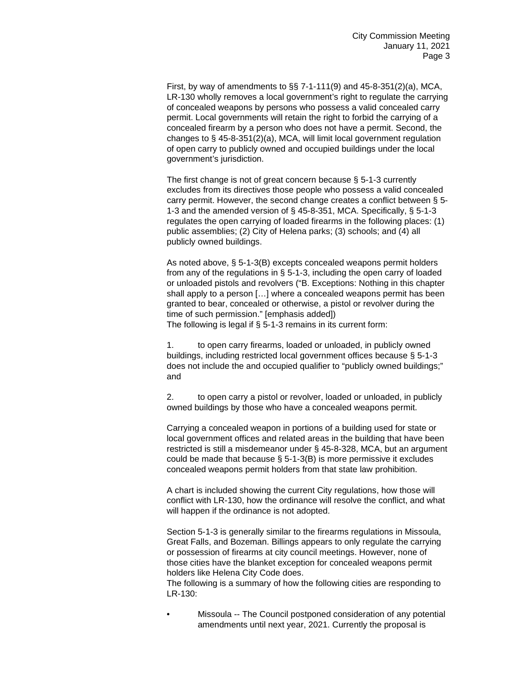First, by way of amendments to §§ 7-1-111(9) and 45-8-351(2)(a), MCA, LR-130 wholly removes a local government's right to regulate the carrying of concealed weapons by persons who possess a valid concealed carry permit. Local governments will retain the right to forbid the carrying of a concealed firearm by a person who does not have a permit. Second, the changes to § 45-8-351(2)(a), MCA, will limit local government regulation of open carry to publicly owned and occupied buildings under the local government's jurisdiction.

The first change is not of great concern because § 5-1-3 currently excludes from its directives those people who possess a valid concealed carry permit. However, the second change creates a conflict between § 5- 1-3 and the amended version of § 45-8-351, MCA. Specifically, § 5-1-3 regulates the open carrying of loaded firearms in the following places: (1) public assemblies; (2) City of Helena parks; (3) schools; and (4) all publicly owned buildings.

As noted above, § 5-1-3(B) excepts concealed weapons permit holders from any of the regulations in § 5-1-3, including the open carry of loaded or unloaded pistols and revolvers ("B. Exceptions: Nothing in this chapter shall apply to a person […] where a concealed weapons permit has been granted to bear, concealed or otherwise, a pistol or revolver during the time of such permission." [emphasis added]) The following is legal if § 5-1-3 remains in its current form:

1. to open carry firearms, loaded or unloaded, in publicly owned buildings, including restricted local government offices because § 5-1-3 does not include the and occupied qualifier to "publicly owned buildings;" and

2. to open carry a pistol or revolver, loaded or unloaded, in publicly owned buildings by those who have a concealed weapons permit.

Carrying a concealed weapon in portions of a building used for state or local government offices and related areas in the building that have been restricted is still a misdemeanor under § 45-8-328, MCA, but an argument could be made that because § 5-1-3(B) is more permissive it excludes concealed weapons permit holders from that state law prohibition.

A chart is included showing the current City regulations, how those will conflict with LR-130, how the ordinance will resolve the conflict, and what will happen if the ordinance is not adopted.

Section 5-1-3 is generally similar to the firearms regulations in Missoula, Great Falls, and Bozeman. Billings appears to only regulate the carrying or possession of firearms at city council meetings. However, none of those cities have the blanket exception for concealed weapons permit holders like Helena City Code does.

The following is a summary of how the following cities are responding to LR-130:

• Missoula -- The Council postponed consideration of any potential amendments until next year, 2021. Currently the proposal is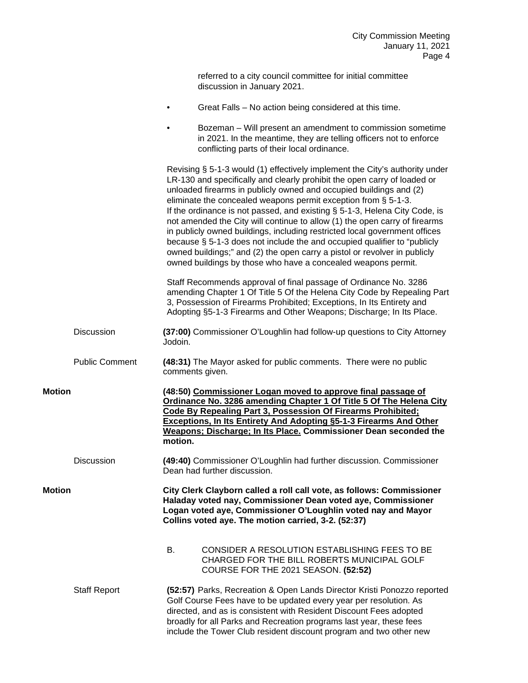referred to a city council committee for initial committee discussion in January 2021.

• Great Falls – No action being considered at this time.

|        |                       | Bozeman - Will present an amendment to commission sometime<br>in 2021. In the meantime, they are telling officers not to enforce<br>conflicting parts of their local ordinance.                                                                                                                                                                                                                                                                                                                                                                                                                                                                                                                                                                                     |
|--------|-----------------------|---------------------------------------------------------------------------------------------------------------------------------------------------------------------------------------------------------------------------------------------------------------------------------------------------------------------------------------------------------------------------------------------------------------------------------------------------------------------------------------------------------------------------------------------------------------------------------------------------------------------------------------------------------------------------------------------------------------------------------------------------------------------|
|        |                       | Revising § 5-1-3 would (1) effectively implement the City's authority under<br>LR-130 and specifically and clearly prohibit the open carry of loaded or<br>unloaded firearms in publicly owned and occupied buildings and (2)<br>eliminate the concealed weapons permit exception from § 5-1-3.<br>If the ordinance is not passed, and existing § 5-1-3, Helena City Code, is<br>not amended the City will continue to allow (1) the open carry of firearms<br>in publicly owned buildings, including restricted local government offices<br>because § 5-1-3 does not include the and occupied qualifier to "publicly<br>owned buildings;" and (2) the open carry a pistol or revolver in publicly<br>owned buildings by those who have a concealed weapons permit. |
|        |                       | Staff Recommends approval of final passage of Ordinance No. 3286<br>amending Chapter 1 Of Title 5 Of the Helena City Code by Repealing Part<br>3, Possession of Firearms Prohibited; Exceptions, In Its Entirety and<br>Adopting §5-1-3 Firearms and Other Weapons; Discharge; In Its Place.                                                                                                                                                                                                                                                                                                                                                                                                                                                                        |
|        | <b>Discussion</b>     | (37:00) Commissioner O'Loughlin had follow-up questions to City Attorney<br>Jodoin.                                                                                                                                                                                                                                                                                                                                                                                                                                                                                                                                                                                                                                                                                 |
|        | <b>Public Comment</b> | (48:31) The Mayor asked for public comments. There were no public<br>comments given.                                                                                                                                                                                                                                                                                                                                                                                                                                                                                                                                                                                                                                                                                |
| Motion |                       | (48:50) Commissioner Logan moved to approve final passage of<br>Ordinance No. 3286 amending Chapter 1 Of Title 5 Of The Helena City<br>Code By Repealing Part 3, Possession Of Firearms Prohibited;<br><b>Exceptions, In Its Entirety And Adopting §5-1-3 Firearms And Other</b><br>Weapons; Discharge; In Its Place. Commissioner Dean seconded the<br>motion.                                                                                                                                                                                                                                                                                                                                                                                                     |
|        | Discussion            | (49:40) Commissioner O'Loughlin had further discussion. Commissioner<br>Dean had further discussion.                                                                                                                                                                                                                                                                                                                                                                                                                                                                                                                                                                                                                                                                |
|        |                       |                                                                                                                                                                                                                                                                                                                                                                                                                                                                                                                                                                                                                                                                                                                                                                     |

**Motion City Clerk Clayborn called a roll call vote, as follows: Commissioner Haladay voted nay, Commissioner Dean voted aye, Commissioner Logan voted aye, Commissioner O'Loughlin voted nay and Mayor Collins voted aye. The motion carried, 3-2. (52:37)**

- B. CONSIDER A RESOLUTION ESTABLISHING FEES TO BE CHARGED FOR THE BILL ROBERTS MUNICIPAL GOLF COURSE FOR THE 2021 SEASON. **(52:52)**
- Staff Report **(52:57)** Parks, Recreation & Open Lands Director Kristi Ponozzo reported Golf Course Fees have to be updated every year per resolution. As directed, and as is consistent with Resident Discount Fees adopted broadly for all Parks and Recreation programs last year, these fees include the Tower Club resident discount program and two other new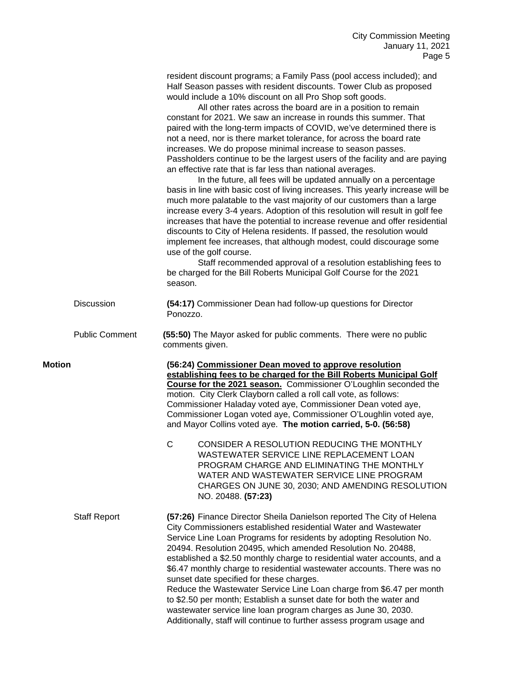resident discount programs; a Family Pass (pool access included); and Half Season passes with resident discounts. Tower Club as proposed would include a 10% discount on all Pro Shop soft goods.

All other rates across the board are in a position to remain constant for 2021. We saw an increase in rounds this summer. That paired with the long-term impacts of COVID, we've determined there is not a need, nor is there market tolerance, for across the board rate increases. We do propose minimal increase to season passes. Passholders continue to be the largest users of the facility and are paying an effective rate that is far less than national averages.

In the future, all fees will be updated annually on a percentage basis in line with basic cost of living increases. This yearly increase will be much more palatable to the vast majority of our customers than a large increase every 3-4 years. Adoption of this resolution will result in golf fee increases that have the potential to increase revenue and offer residential discounts to City of Helena residents. If passed, the resolution would implement fee increases, that although modest, could discourage some use of the golf course.

Staff recommended approval of a resolution establishing fees to be charged for the Bill Roberts Municipal Golf Course for the 2021 season.

- Discussion **(54:17)** Commissioner Dean had follow-up questions for Director Ponozzo.
- Public Comment **(55:50)** The Mayor asked for public comments. There were no public comments given.
- **Motion (56:24) Commissioner Dean moved to approve resolution establishing fees to be charged for the Bill Roberts Municipal Golf Course for the 2021 season.** Commissioner O'Loughlin seconded the motion. City Clerk Clayborn called a roll call vote, as follows: Commissioner Haladay voted aye, Commissioner Dean voted aye, Commissioner Logan voted aye, Commissioner O'Loughlin voted aye, and Mayor Collins voted aye. **The motion carried, 5-0. (56:58)**
	- C CONSIDER A RESOLUTION REDUCING THE MONTHLY WASTEWATER SERVICE LINE REPLACEMENT LOAN PROGRAM CHARGE AND ELIMINATING THE MONTHLY WATER AND WASTEWATER SERVICE LINE PROGRAM CHARGES ON JUNE 30, 2030; AND AMENDING RESOLUTION NO. 20488. **(57:23)**

Staff Report **(57:26)** Finance Director Sheila Danielson reported The City of Helena City Commissioners established residential Water and Wastewater Service Line Loan Programs for residents by adopting Resolution No. 20494. Resolution 20495, which amended Resolution No. 20488, established a \$2.50 monthly charge to residential water accounts, and a \$6.47 monthly charge to residential wastewater accounts. There was no sunset date specified for these charges. Reduce the Wastewater Service Line Loan charge from \$6.47 per month to \$2.50 per month; Establish a sunset date for both the water and wastewater service line loan program charges as June 30, 2030. Additionally, staff will continue to further assess program usage and